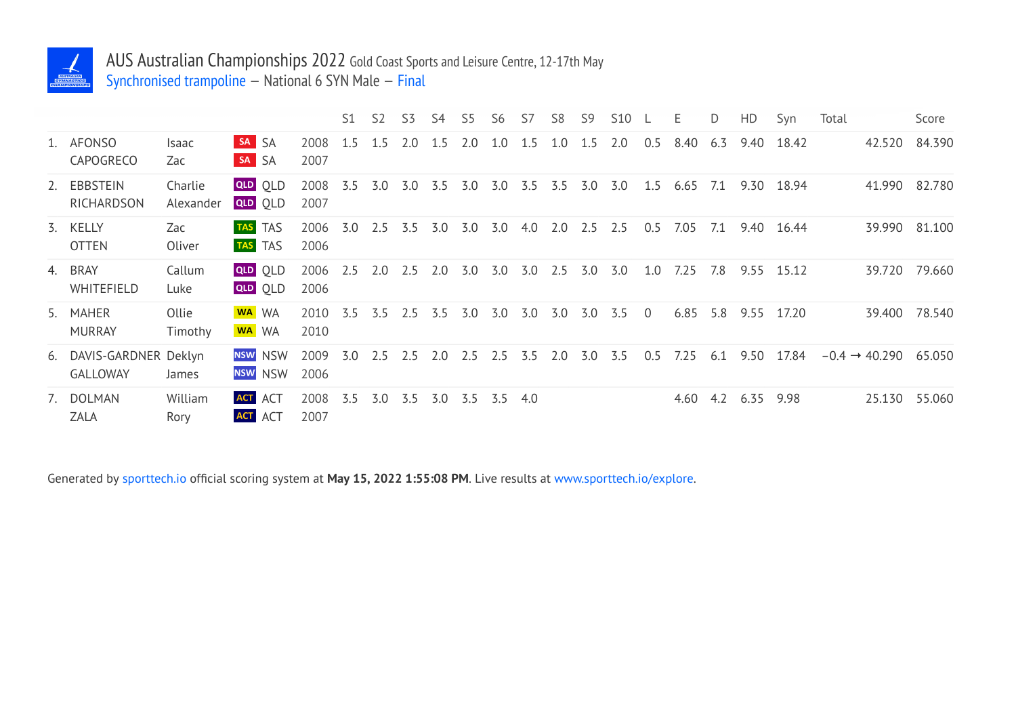

## AUS Australian Championships 2022 Gold Coast Sports and Leisure Centre, 12-17th May

Synchronised trampoline — National 6 SYN Male — Final

|                                            |                      |                                  |              | S1  | S <sub>2</sub> | S <sub>3</sub> | S4  | S5                | S <sub>6</sub> | S7  | S <sub>8</sub> | S <sub>9</sub> | <b>S10</b> | $-L$           | E.   | D   | HD   | Syn   | Total |                           | Score         |
|--------------------------------------------|----------------------|----------------------------------|--------------|-----|----------------|----------------|-----|-------------------|----------------|-----|----------------|----------------|------------|----------------|------|-----|------|-------|-------|---------------------------|---------------|
| 1. AFONSO<br>CAPOGRECO                     | Isaac<br>Zac         | <b>SA SA</b><br>SA SA            | 2008<br>2007 | 1.5 | 1.5            | 2.0            | 1.5 | 2.0               | 1.0            | 1.5 | 1.0            | 1.5            | 2.0        | 0.5            | 8.40 | 6.3 | 9.40 | 18.42 |       | 42.520                    | 84.390        |
| 2. EBBSTEIN<br>RICHARDSON                  | Charlie<br>Alexander | <b>QLD</b> OLD<br><b>QLD</b> OLD | 2008<br>2007 | 3.5 | 3.0            | 3.0            | 3.5 | 3.0               | 3.0            | 3.5 | 3.5            | 3.0            | 3.0        | 1.5            | 6.65 | 7.1 | 9.30 | 18.94 |       | 41.990                    | 82.780        |
| 3. KELLY<br><b>OTTEN</b>                   | Zac<br>Oliver        | <b>TAS</b> TAS<br><b>TAS</b> TAS | 2006<br>2006 | 3.0 | 2.5            | 3.5            | 3.0 | 3.0               | 3.0            | 4.0 | 2.0            | 2.5            | 2.5        | 0.5            | 7.05 | 7.1 | 9.40 | 16.44 |       | 39.990                    | 81.100        |
| 4. BRAY<br>WHITEFIELD                      | Callum<br>Luke       | <b>QLD</b> OLD<br><b>QLD</b> OLD | 2006<br>2006 | 2.5 | 2.0            | 2.5            | 2.0 | 3.0               | 3.0            | 3.0 | 2.5            | 3.0            | 3.0        | 1.0            | 7.25 | 7.8 | 9.55 | 15.12 |       |                           | 39.720 79.660 |
| 5. MAHER<br><b>MURRAY</b>                  | Ollie<br>Timothy     | WA WA<br>WA WA                   | 2010<br>2010 | 3.5 | 3.5            | 2.5            | 3.5 | 3.0               | 3.0            | 3.0 | 3.0            | 3.0            | 3.5        | $\overline{0}$ | 6.85 | 5.8 | 9.55 | 17.20 |       | 39.400                    | 78.540        |
| 6. DAVIS-GARDNER Deklyn<br><b>GALLOWAY</b> | James                | <b>NSW</b> NSW<br>NSW NSW        | 2009<br>2006 | 3.0 | 2.5            | 2.5            | 2.0 | 2.5               | 2.5            | 3.5 | 2.0            | 3.0            | 3.5        | 0.5            | 7.25 | 6.1 | 9.50 | 17.84 |       | $-0.4 \rightarrow 40.290$ | 65.050        |
| 7. DOLMAN<br><b>ZALA</b>                   | William<br>Rory      | <b>ACT</b> ACT<br><b>ACT</b> ACT | 2008<br>2007 | 3.5 | 3.0            | 3.5            |     | $3.0$ $3.5$ $3.5$ |                | 4.0 |                |                |            |                | 4.60 | 4.2 | 6.35 | 9.98  |       | 25.130                    | 55.060        |

Generated by sporttech.io official scoring system at **May 15, 2022 1:55:08 PM**. Live results at www.sporttech.io/explore.